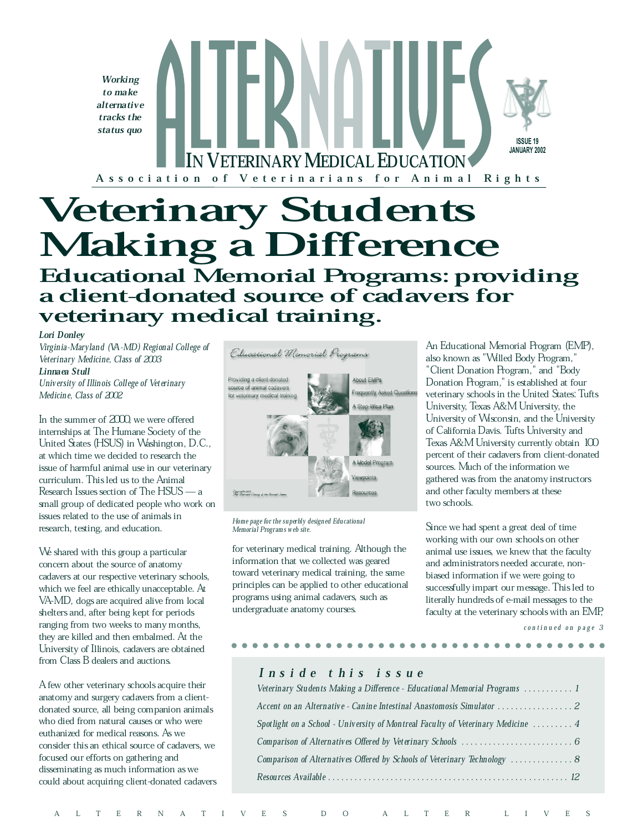

# Making a Difference

## Educational Memorial Programs: providing a client-donated source of cadavers for veterinary medical training.

#### Lori Donley

Virginia-Maryland (VA-MD) Regional College of Veterinary Medicine, Class of 2003 Linnaea Stull University of Illinois College of Veterinary Medicine, Class of 2002

In the summer of  $200$  we were offered internships at The Humane Society of the United States (HSUS) in Washington, D.C., at which time we decided to research the issue of harmful animal use in our veterinary curriculum. This led us to the Animal Research Issues section of The  $HSUS - a$ small group of dedicated people who work on issues related to the use of animals in research, testing, and education.

We shared with this group a particular concern about the source of anatomy cadavers at our respective veterinary schools, which we feel are ethically unacceptable. At VA-MD, dogs are acquired alive from local shelters and, after being kept for periods ranging from two weeks to many months, they are killed and then embalmed. At the University of Illinois, cadavers are obtained from Class B dealers and auctions.

A few other veterinary schools acquire their anatomy and surgery cadavers from a clientdonated source, all being companion animals who died from natural causes or who were euthanized for medical reasons. As we consider this an ethical source of cadavers, we focused our efforts on gathering and disseminating as much information as we could about acquiring client-donated cadavers



Home page for the superbly designed Educational Memorial Programs web site.

for veterinary medical training. Although the information that we collected was geared toward veterinary medical training, the same principles can be applied to other educational programs using animal cadavers, such as undergraduate anatomy courses.

An Educational Memorial Program (EMP), also known as "Willed Body Program," "Client Donation Program," and "Body Donation Program," is established at four veterinary schools in the United States: Tufts University, Texas A&M University, the University of Wisconsin, and the University of California Davis. Tufts University and Texas A&M University currently obtain 100 percent of their cadavers from client-donated sources. Much of the information we gathered was from the anatomy instructors and other faculty members at these two schools.

Since we had spent a great deal of time working with our own schools on other animal use issues, we knew that the faculty and administrators needed accurate, nonbiased information if we were going to successfully impart our message. This led to literally hundreds of e-mail messages to the faculty at the veterinary schools with an EMP,

continued on page 3

#### I n s i d e t h i s i s s u e

| Veterinary Students Making a Difference - Educational Memorial Programs  1       |
|----------------------------------------------------------------------------------|
| Accent on an Alternative - Canine Intestinal Anastomosis Simulator 2             |
| Spotlight on a School - University of Montreal Faculty of Veterinary Medicine  4 |
|                                                                                  |
| Comparison of Alternatives Offered by Schools of Veterinary Technology  8        |
|                                                                                  |